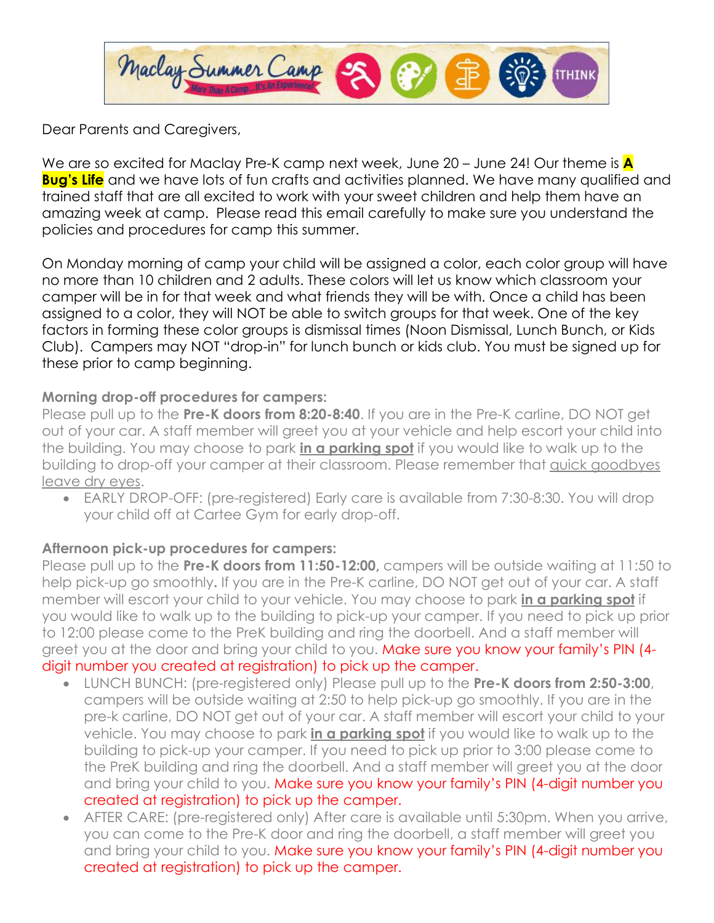

Dear Parents and Caregivers,

We are so excited for Maclay Pre-K camp next week, June 20 – June 24! Our theme is **A Bug's Life** and we have lots of fun crafts and activities planned. We have many qualified and trained staff that are all excited to work with your sweet children and help them have an amazing week at camp. Please read this email carefully to make sure you understand the policies and procedures for camp this summer.

On Monday morning of camp your child will be assigned a color, each color group will have no more than 10 children and 2 adults. These colors will let us know which classroom your camper will be in for that week and what friends they will be with. Once a child has been assigned to a color, they will NOT be able to switch groups for that week. One of the key factors in forming these color groups is dismissal times (Noon Dismissal, Lunch Bunch, or Kids Club). Campers may NOT "drop-in" for lunch bunch or kids club. You must be signed up for these prior to camp beginning.

## **Morning drop-off procedures for campers:**

Please pull up to the **Pre-K doors from 8:20-8:40**. If you are in the Pre-K carline, DO NOT get out of your car. A staff member will greet you at your vehicle and help escort your child into the building. You may choose to park **in a parking spot** if you would like to walk up to the building to drop-off your camper at their classroom. Please remember that quick goodbyes leave dry eyes.

• EARLY DROP-OFF: (pre-registered) Early care is available from 7:30-8:30. You will drop your child off at Cartee Gym for early drop-off.

#### **Afternoon pick-up procedures for campers:**

Please pull up to the **Pre-K doors from 11:50-12:00,** campers will be outside waiting at 11:50 to help pick-up go smoothly**.** If you are in the Pre-K carline, DO NOT get out of your car. A staff member will escort your child to your vehicle. You may choose to park **in a parking spot** if you would like to walk up to the building to pick-up your camper. If you need to pick up prior to 12:00 please come to the PreK building and ring the doorbell. And a staff member will greet you at the door and bring your child to you. Make sure you know your family's PIN (4digit number you created at registration) to pick up the camper.

- LUNCH BUNCH: (pre-registered only) Please pull up to the **Pre-K doors from 2:50-3:00**, campers will be outside waiting at 2:50 to help pick-up go smoothly. If you are in the pre-k carline, DO NOT get out of your car. A staff member will escort your child to your vehicle. You may choose to park **in a parking spot** if you would like to walk up to the building to pick-up your camper. If you need to pick up prior to 3:00 please come to the PreK building and ring the doorbell. And a staff member will greet you at the door and bring your child to you. Make sure you know your family's PIN (4-digit number you created at registration) to pick up the camper.
- AFTER CARE: (pre-registered only) After care is available until 5:30pm. When you arrive, you can come to the Pre-K door and ring the doorbell, a staff member will greet you and bring your child to you. Make sure you know your family's PIN (4-digit number you created at registration) to pick up the camper.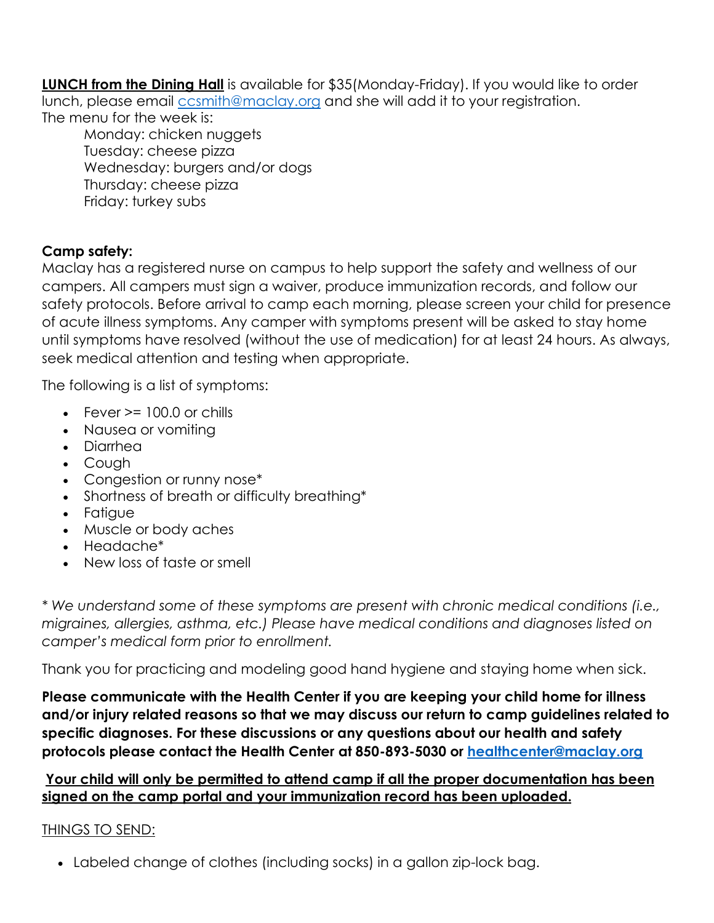**LUNCH from the Dining Hall** is available for \$35(Monday-Friday). If you would like to order lunch, please email *[ccsmith@maclay.org](mailto:ccsmith@maclay.org)* and she will add it to your registration. The menu for the week is:

Monday: chicken nuggets Tuesday: cheese pizza Wednesday: burgers and/or dogs Thursday: cheese pizza Friday: turkey subs

## **Camp safety:**

Maclay has a registered nurse on campus to help support the safety and wellness of our campers. All campers must sign a waiver, produce immunization records, and follow our safety protocols. Before arrival to camp each morning, please screen your child for presence of acute illness symptoms. Any camper with symptoms present will be asked to stay home until symptoms have resolved (without the use of medication) for at least 24 hours. As always, seek medical attention and testing when appropriate.

The following is a list of symptoms:

- Fever  $>= 100.0$  or chills
- Nausea or vomiting
- Diarrhea
- Cough
- Congestion or runny nose\*
- Shortness of breath or difficulty breathing\*
- Fatigue
- Muscle or body aches
- Headache\*
- New loss of taste or smell

*\* We understand some of these symptoms are present with chronic medical conditions (i.e., migraines, allergies, asthma, etc.) Please have medical conditions and diagnoses listed on camper's medical form prior to enrollment.* 

Thank you for practicing and modeling good hand hygiene and staying home when sick.

**Please communicate with the Health Center if you are keeping your child home for illness and/or injury related reasons so that we may discuss our return to camp guidelines related to specific diagnoses. For these discussions or any questions about our health and safety protocols please contact the Health Center at 850-893-5030 or [healthcenter@maclay.org](mailto:healthcenter@maclay.org)**

## **Your child will only be permitted to attend camp if all the proper documentation has been signed on the camp portal and your immunization record has been uploaded.**

# THINGS TO SEND:

• Labeled change of clothes (including socks) in a gallon zip-lock bag.